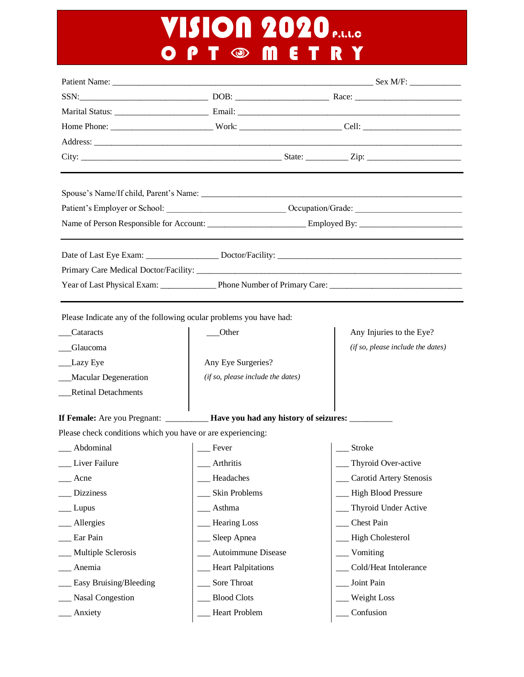# **VISION 2020 P.L.L.C** O P T  $\odot$  M E T R Y

| SSN: Race: Race: Race: Race: Race: Race: Race: Race: Race: Race: Race: Race: Race: Race: Race: Race: Race: Race: Race: Race: Race: Race: Race: Race: Race: Race: Race: Race: Race: Race: Race: Race: Race: Race: Race: Race: R |                                   |                                   |
|--------------------------------------------------------------------------------------------------------------------------------------------------------------------------------------------------------------------------------|-----------------------------------|-----------------------------------|
|                                                                                                                                                                                                                                |                                   |                                   |
|                                                                                                                                                                                                                                |                                   |                                   |
|                                                                                                                                                                                                                                |                                   |                                   |
|                                                                                                                                                                                                                                |                                   |                                   |
|                                                                                                                                                                                                                                |                                   |                                   |
|                                                                                                                                                                                                                                |                                   |                                   |
|                                                                                                                                                                                                                                |                                   |                                   |
|                                                                                                                                                                                                                                |                                   |                                   |
|                                                                                                                                                                                                                                |                                   |                                   |
|                                                                                                                                                                                                                                |                                   |                                   |
| Please Indicate any of the following ocular problems you have had:                                                                                                                                                             |                                   |                                   |
| Cataracts                                                                                                                                                                                                                      | Other                             | Any Injuries to the Eye?          |
| Glaucoma                                                                                                                                                                                                                       |                                   | (if so, please include the dates) |
| Lazy Eye                                                                                                                                                                                                                       | Any Eye Surgeries?                |                                   |
| _Macular Degeneration                                                                                                                                                                                                          | (if so, please include the dates) |                                   |
| <b>Retinal Detachments</b>                                                                                                                                                                                                     |                                   |                                   |
| If Female: Are you Pregnant: _________ Have you had any history of seizures: _______                                                                                                                                           |                                   |                                   |
| Please check conditions which you have or are experiencing:                                                                                                                                                                    |                                   |                                   |
| _Abdominal                                                                                                                                                                                                                     | $\vert$ Eever                     | <b>Stroke</b>                     |
| Liver Failure                                                                                                                                                                                                                  | Arthritis                         | Thyroid Over-active               |
| Acne                                                                                                                                                                                                                           | Headaches                         | Carotid Artery Stenosis           |
| <b>Dizziness</b>                                                                                                                                                                                                               | Skin Problems                     | <b>High Blood Pressure</b>        |
| Lupus                                                                                                                                                                                                                          | Asthma                            | Thyroid Under Active              |
| Allergies                                                                                                                                                                                                                      | <b>Hearing Loss</b>               | Chest Pain                        |
| Ear Pain                                                                                                                                                                                                                       | Sleep Apnea                       | <b>High Cholesterol</b>           |
|                                                                                                                                                                                                                                |                                   |                                   |
| Multiple Sclerosis                                                                                                                                                                                                             | Autoimmune Disease                | Vomiting                          |
| Anemia                                                                                                                                                                                                                         | <b>Heart Palpitations</b>         | Cold/Heat Intolerance             |
| Easy Bruising/Bleeding                                                                                                                                                                                                         | Sore Throat                       | Joint Pain                        |
| <b>Nasal Congestion</b>                                                                                                                                                                                                        | <b>Blood Clots</b>                | Weight Loss                       |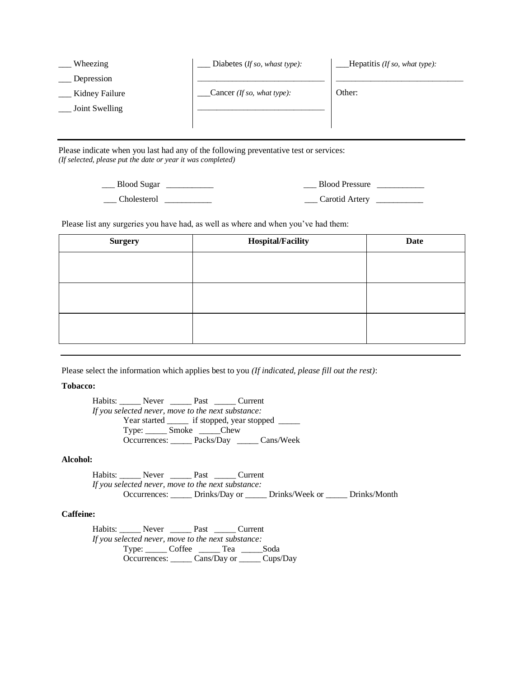| Wheezing       | Diabetes ( <i>If so, whast type</i> ): | Hepatitis (If so, what type): |
|----------------|----------------------------------------|-------------------------------|
| Depression     |                                        |                               |
| Kidney Failure | Cancer <i>(If so, what type)</i> :     | Other:                        |
| Joint Swelling |                                        |                               |
|                |                                        |                               |
|                |                                        |                               |

Please indicate when you last had any of the following preventative test or services: *(If selected, please put the date or year it was completed)*

> \_\_\_ Blood Sugar \_\_\_\_\_\_\_\_\_\_  $\Box$  Cholesterol  $\Box$ \_\_\_ Blood Pressure \_\_\_\_\_\_\_\_\_\_\_ \_\_\_ Carotid Artery \_\_\_\_\_\_\_\_\_\_\_

Please list any surgeries you have had, as well as where and when you've had them:

| <b>Surgery</b> | <b>Hospital/Facility</b> | <b>Date</b> |
|----------------|--------------------------|-------------|
|                |                          |             |
|                |                          |             |
|                |                          |             |
|                |                          |             |
|                |                          |             |
|                |                          |             |

Please select the information which applies best to you *(If indicated, please fill out the rest)*:

**Tobacco:**

Habits: \_\_\_\_\_ Never \_\_\_\_\_ Past \_\_\_\_\_ Current *If you selected never, move to the next substance:* Year started \_\_\_\_\_\_ if stopped, year stopped \_\_\_\_\_ Type: \_\_\_\_\_ Smoke \_\_\_\_\_Chew Occurrences: \_\_\_\_\_ Packs/Day \_\_\_\_\_ Cans/Week

#### **Alcohol:**

Habits: \_\_\_\_\_ Never \_\_\_\_\_ Past \_\_\_\_\_ Current *If you selected never, move to the next substance:* Occurrences: \_\_\_\_\_ Drinks/Day or \_\_\_\_\_ Drinks/Week or \_\_\_\_\_ Drinks/Month

#### **Caffeine:**

Habits: \_\_\_\_\_\_ Never \_\_\_\_\_\_ Past \_\_\_\_\_ Current *If you selected never, move to the next substance:* Type: \_\_\_\_\_ Coffee \_\_\_\_\_ Tea \_\_\_\_\_Soda Occurrences: \_\_\_\_\_ Cans/Day or \_\_\_\_\_ Cups/Day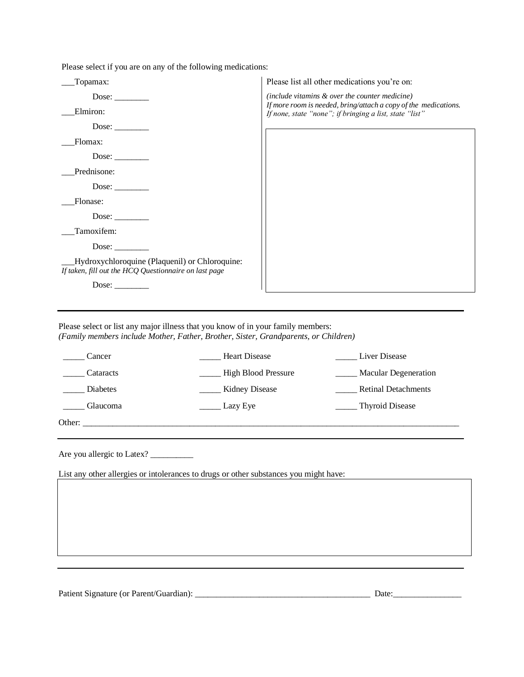Please select if you are on any of the following medications:

| Topamax:                                                                                                | Please list all other medications you're on:                                                                               |
|---------------------------------------------------------------------------------------------------------|----------------------------------------------------------------------------------------------------------------------------|
| Dose: $\_\_$                                                                                            | (include vitamins & over the counter medicine)                                                                             |
| Elmiron:                                                                                                | If more room is needed, bring/attach a copy of the medications.<br>If none, state "none"; if bringing a list, state "list" |
| Dose:                                                                                                   |                                                                                                                            |
| Flomax:                                                                                                 |                                                                                                                            |
| Dose:                                                                                                   |                                                                                                                            |
| Prednisone:                                                                                             |                                                                                                                            |
| Dose:                                                                                                   |                                                                                                                            |
| Flonase:                                                                                                |                                                                                                                            |
|                                                                                                         |                                                                                                                            |
| Tamoxifem:                                                                                              |                                                                                                                            |
| Dose:                                                                                                   |                                                                                                                            |
| Hydroxychloroquine (Plaquenil) or Chloroquine:<br>If taken, fill out the HCQ Questionnaire on last page |                                                                                                                            |
| Dose: $\_\_$                                                                                            |                                                                                                                            |

Please select or list any major illness that you know of in your family members: *(Family members include Mother, Father, Brother, Sister, Grandparents, or Children)*

| Cancer          | <b>Heart Disease</b>       | Liver Disease               |
|-----------------|----------------------------|-----------------------------|
| Cataracts       | <b>High Blood Pressure</b> | <b>Macular Degeneration</b> |
| Diabetes        | <b>Kidney Disease</b>      | <b>Retinal Detachments</b>  |
| <b>Glaucoma</b> | Lazy Eye                   | ____ Thyroid Disease        |
| Other:          |                            |                             |

Are you allergic to Latex? \_\_\_\_\_\_\_\_\_\_

List any other allergies or intolerances to drugs or other substances you might have:

Patient Signature (or Parent/Guardian): \_\_\_\_\_\_\_\_\_\_\_\_\_\_\_\_\_\_\_\_\_\_\_\_\_\_\_\_\_\_\_\_\_\_\_\_\_\_\_\_\_ Date:\_\_\_\_\_\_\_\_\_\_\_\_\_\_\_\_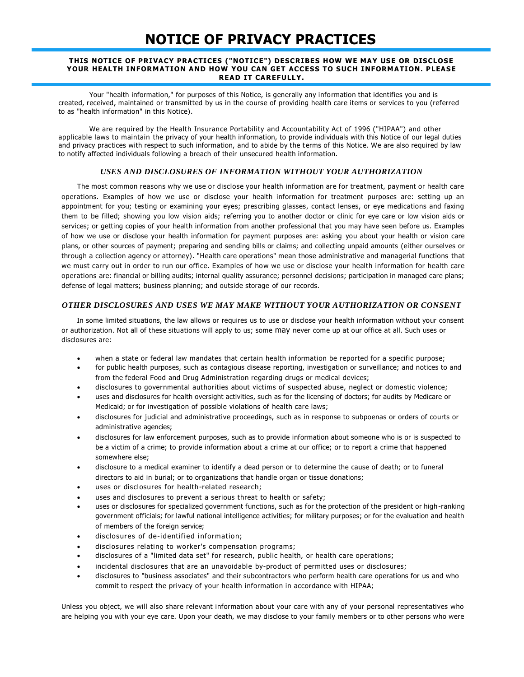### **NOTICE OF PRIVACY PRACTICES**

#### **THIS NOTICE OF PRIVACY PRACTICES ("NOTICE") DESCRIBES HOW WE MAY USE OR DISCLOSE YOUR HEALTH INFORMATION AND HOW YOU CAN GET ACCESS TO SUCH INFORMATION. PLEASE READ IT CAREFULLY.**

Your "health information," for purposes of this Notice, is generally any information that identifies you and is created, received, maintained or transmitted by us in the course of providing health care items or services to you (referred to as "health information" in this Notice).

We are required by the Health Insurance Portability and Accountability Act of 1996 ("HIPAA") and other applicable laws to maintain the privacy of your health information, to provide individuals with this Notice of our legal duties and privacy practices with respect to such information, and to abide by the terms of this Notice. We are also required by law to notify affected individuals following a breach of their unsecured health information.

#### *USES AND DISCLOSURES OF INFORMATION WITHOUT YOUR AUTHORIZATION*

The most common reasons why we use or disclose your health information are for treatment, payment or health care operations. Examples of how we use or disclose your health information for treatment purposes are: setting up an appointment for you; testing or examining your eyes; prescribing glasses, contact lenses, or eye medications and faxing them to be filled; showing you low vision aids; referring you to another doctor or clinic for eye care or low vision aids or services; or getting copies of your health information from another professional that you may have seen before us. Examples of how we use or disclose your health information for payment purposes are: asking you about your health or vision care plans, or other sources of payment; preparing and sending bills or claims; and collecting unpaid amounts (either ourselves or through a collection agency or attorney). "Health care operations" mean those administrative and managerial functions that we must carry out in order to run our office. Examples of how we use or disclose your health information for health care operations are: financial or billing audits; internal quality assurance; personnel decisions; participation in managed care plans; defense of legal matters; business planning; and outside storage of our records.

#### *OTHER DISCLOSURES AND USES WE MAY MAKE WITHOUT YOUR AUTHORIZATION OR CONSENT*

In some limited situations, the law allows or requires us to use or disclose your health information without your consent or authorization. Not all of these situations will apply to us; some may never come up at our office at all. Such uses or disclosures are:

- when a state or federal law mandates that certain health information be reported for a specific purpose;
- for public health purposes, such as contagious disease reporting, investigation or surveillance; and notices to and from the federal Food and Drug Administration regarding drugs or medical devices;
- disclosures to governmental authorities about victims of suspected abuse, neglect or domestic violence;
- uses and disclosures for health oversight activities, such as for the licensing of doctors; for audits by Medicare or Medicaid; or for investigation of possible violations of health care laws;
- disclosures for judicial and administrative proceedings, such as in response to subpoenas or orders of courts or administrative agencies;
- disclosures for law enforcement purposes, such as to provide information about someone who is or is suspected to be a victim of a crime; to provide information about a crime at our office; or to report a crime that happened somewhere else;
- disclosure to a medical examiner to identify a dead person or to determine the cause of death; or to funeral directors to aid in burial; or to organizations that handle organ or tissue donations;
- uses or disclosures for health-related research;
- uses and disclosures to prevent a serious threat to health or safety;
- uses or disclosures for specialized government functions, such as for the protection of the president or high-ranking government officials; for lawful national intelligence activities; for military purposes; or for the evaluation and health of members of the foreign service;
- disclosures of de-identified information;
- disclosures relating to worker's compensation programs;
- disclosures of a "limited data set" for research, public health, or health care operations;
- incidental disclosures that are an unavoidable by-product of permitted uses or disclosures;
- disclosures to "business associates" and their subcontractors who perform health care operations for us and who commit to respect the privacy of your health information in accordance with HIPAA;

Unless you object, we will also share relevant information about your care with any of your personal representatives who are helping you with your eye care. Upon your death, we may disclose to your family members or to other persons who were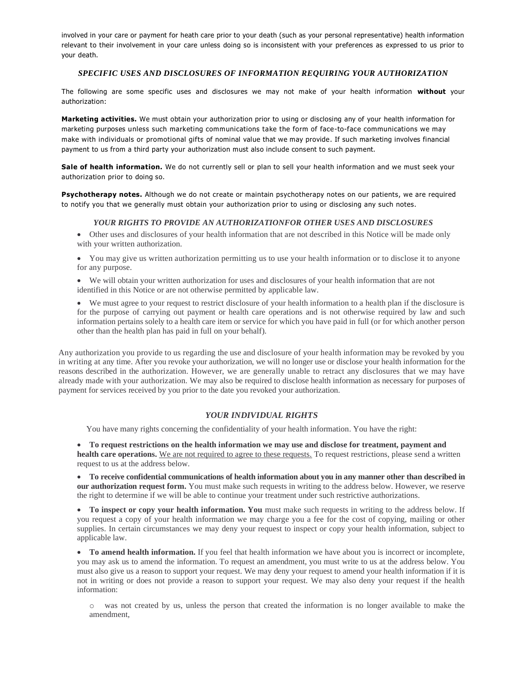involved in your care or payment for heath care prior to your death (such as your personal representative) health information relevant to their involvement in your care unless doing so is inconsistent with your preferences as expressed to us prior to your death.

#### *SPECIFIC USES AND DISCLOSURES OF INFORMATION REQUIRING YOUR AUTHORIZATION*

The following are some specific uses and disclosures we may not make of your health information **without** your authorization:

**Marketing activities.** We must obtain your authorization prior to using or disclosing any of your health information for marketing purposes unless such marketing communications take the form of face-to-face communications we may make with individuals or promotional gifts of nominal value that we may provide. If such marketing involves financial payment to us from a third party your authorization must also include consent to such payment.

**Sale of health information.** We do not currently sell or plan to sell your health information and we must seek your authorization prior to doing so.

**Psychotherapy notes.** Although we do not create or maintain psychotherapy notes on our patients, we are required to notify you that we generally must obtain your authorization prior to using or disclosing any such notes.

#### *YOUR RIGHTS TO PROVIDE AN AUTHORIZATIONFOR OTHER USES AND DISCLOSURES*

• Other uses and disclosures of your health information that are not described in this Notice will be made only with your written authorization.

• You may give us written authorization permitting us to use your health information or to disclose it to anyone for any purpose.

• We will obtain your written authorization for uses and disclosures of your health information that are not identified in this Notice or are not otherwise permitted by applicable law.

• We must agree to your request to restrict disclosure of your health information to a health plan if the disclosure is for the purpose of carrying out payment or health care operations and is not otherwise required by law and such information pertains solely to a health care item or service for which you have paid in full (or for which another person other than the health plan has paid in full on your behalf).

Any authorization you provide to us regarding the use and disclosure of your health information may be revoked by you in writing at any time. After you revoke your authorization, we will no longer use or disclose your health information for the reasons described in the authorization. However, we are generally unable to retract any disclosures that we may have already made with your authorization. We may also be required to disclose health information as necessary for purposes of payment for services received by you prior to the date you revoked your authorization.

#### *YOUR INDIVIDUAL RIGHTS*

You have many rights concerning the confidentiality of your health information. You have the right:

• **To request restrictions on the health information we may use and disclose for treatment, payment and health care operations.** We are not required to agree to these requests. To request restrictions, please send a written request to us at the address below.

• **To receive confidential communications of health information about you in any manner other than described in our authorization request form.** You must make such requests in writing to the address below. However, we reserve the right to determine if we will be able to continue your treatment under such restrictive authorizations.

• **To inspect or copy your health information. You** must make such requests in writing to the address below. If you request a copy of your health information we may charge you a fee for the cost of copying, mailing or other supplies. In certain circumstances we may deny your request to inspect or copy your health information, subject to applicable law.

• **To amend health information.** If you feel that health information we have about you is incorrect or incomplete, you may ask us to amend the information. To request an amendment, you must write to us at the address below. You must also give us a reason to support your request. We may deny your request to amend your health information if it is not in writing or does not provide a reason to support your request. We may also deny your request if the health information:

o was not created by us, unless the person that created the information is no longer available to make the amendment,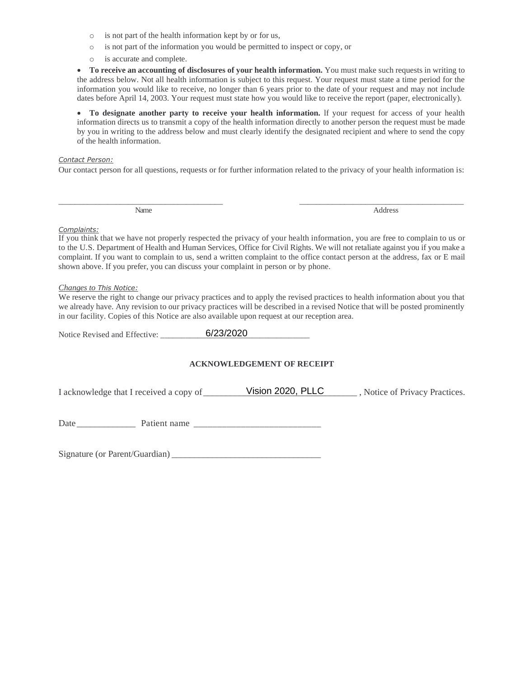- o is not part of the health information kept by or for us,
- o is not part of the information you would be permitted to inspect or copy, or
- o is accurate and complete.

• **To receive an accounting of disclosures of your health information.** You must make such requests in writing to the address below. Not all health information is subject to this request. Your request must state a time period for the information you would like to receive, no longer than 6 years prior to the date of your request and may not include dates before April 14, 2003. Your request must state how you would like to receive the report (paper, electronically).

• **To designate another party to receive your health information.** lf your request for access of your health information directs us to transmit a copy of the health information directly to another person the request must be made by you in writing to the address below and must clearly identify the designated recipient and where to send the copy of the health information.

#### *Contact Person:*

Our contact person for all questions, requests or for further information related to the privacy of your health information is:

\_\_\_\_\_\_\_\_\_\_\_\_\_\_\_\_\_\_\_\_\_\_\_\_\_\_\_\_\_\_\_\_\_\_\_\_\_\_\_\_ \_\_\_\_\_\_\_\_\_\_\_\_\_\_\_\_\_\_\_\_\_\_\_\_\_\_\_\_\_\_\_\_\_\_\_\_\_\_\_\_

Name Address and Address and Address and Address and Address and Address and Address and Address and Address and Address and Address and Address and Address and Address and Address and Address and Address and Address and A

#### *Complaints:*

If you think that we have not properly respected the privacy of your health information, you are free to complain to us or to the U.S. Department of Health and Human Services, Office for Civil Rights. We will not retaliate against you if you make a complaint. If you want to complain to us, send a written complaint to the office contact person at the address, fax or E mail shown above. If you prefer, you can discuss your complaint in person or by phone.

#### *Changes to This Notice:*

We reserve the right to change our privacy practices and to apply the revised practices to health information about you that we already have. Any revision to our privacy practices will be described in a revised Notice that will be posted prominently in our facility. Copies of this Notice are also available upon request at our reception area.

Notice Revised and Effective: \_\_\_\_\_\_\_\_\_\_\_\_\_\_\_\_\_\_\_\_\_\_\_\_\_\_\_\_\_\_\_\_\_\_\_\_ 6/23/2020

#### **ACKNOWLEDGEMENT OF RECEIPT**

I acknowledge that I received a copy of\_\_\_\_\_\_\_\_\_\_\_\_\_\_\_\_\_\_\_\_\_\_\_\_\_\_\_\_\_\_\_\_\_\_ , Notice of Privacy Practices. Vision 2020, PLLC

Date \_\_\_\_\_\_\_\_\_\_\_\_\_ Patient name \_\_\_\_\_\_\_\_\_\_\_\_\_\_\_\_\_\_\_\_\_\_\_\_\_\_\_

Signature (or Parent/Guardian) \_\_\_\_\_\_\_\_\_\_\_\_\_\_\_\_\_\_\_\_\_\_\_\_\_\_\_\_\_\_\_\_\_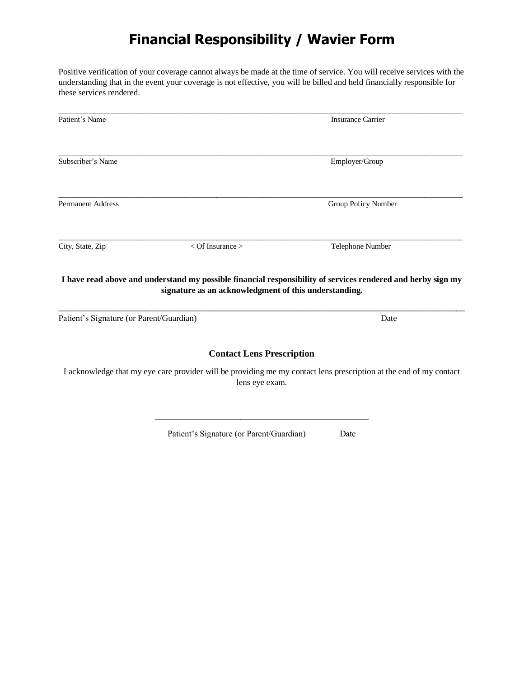### **Financial Responsibility / Wavier Form**

Positive verification of your coverage cannot always be made at the time of service. You will receive services with the understanding that in the event your coverage is not effective, you will be billed and held financially responsible for these services rendered.

| Patient's Name                           |                                                       | <b>Insurance Carrier</b>                                                                                           |
|------------------------------------------|-------------------------------------------------------|--------------------------------------------------------------------------------------------------------------------|
| Subscriber's Name                        |                                                       | Employer/Group                                                                                                     |
| <b>Permanent Address</b>                 |                                                       | Group Policy Number                                                                                                |
| City, State, Zip                         | $<$ Of Insurance $>$                                  | Telephone Number                                                                                                   |
|                                          | signature as an acknowledgment of this understanding. | I have read above and understand my possible financial responsibility of services rendered and herby sign my       |
| Patient's Signature (or Parent/Guardian) |                                                       | Date                                                                                                               |
|                                          | <b>Contact Lens Prescription</b>                      |                                                                                                                    |
|                                          | lens eye exam.                                        | I acknowledge that my eye care provider will be providing me my contact lens prescription at the end of my contact |

Patient's Signature (or Parent/Guardian) Date

\_\_\_\_\_\_\_\_\_\_\_\_\_\_\_\_\_\_\_\_\_\_\_\_\_\_\_\_\_\_\_\_\_\_\_\_\_\_\_\_\_\_\_\_\_\_\_\_\_\_